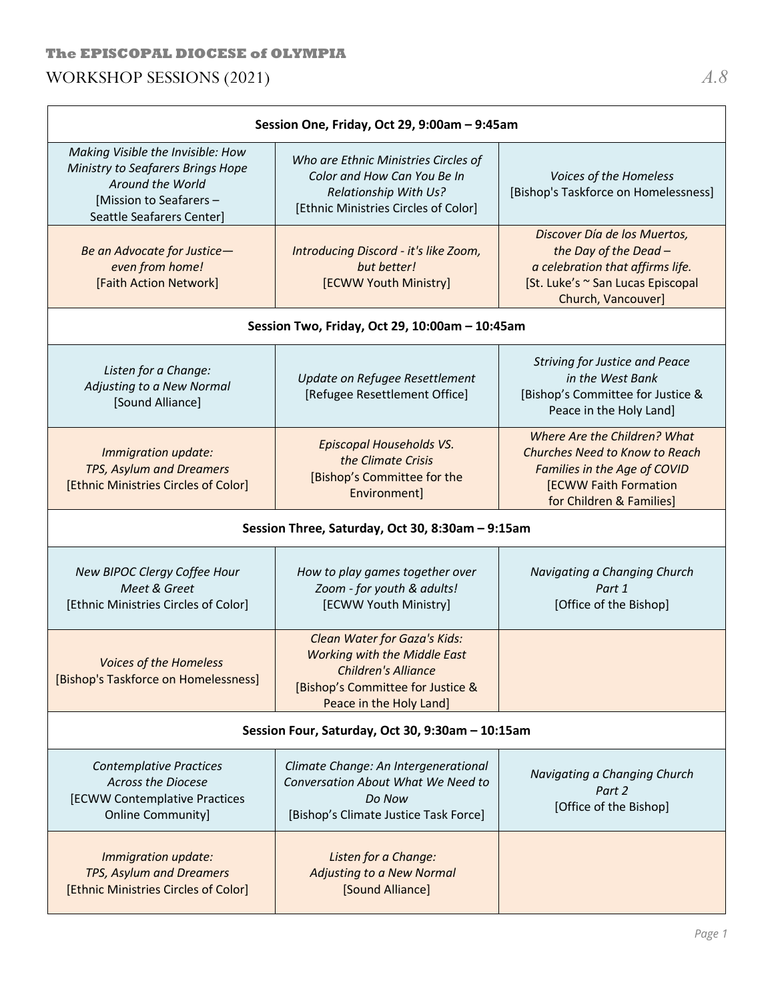# **The EPISCOPAL DIOCESE of OLYMPIA** WORKSHOP SESSIONS (2021) *A.8*

| Session One, Friday, Oct 29, 9:00am - 9:45am                                                                                                       |                                                                                                                                                            |                                                                                                                                                                   |
|----------------------------------------------------------------------------------------------------------------------------------------------------|------------------------------------------------------------------------------------------------------------------------------------------------------------|-------------------------------------------------------------------------------------------------------------------------------------------------------------------|
| Making Visible the Invisible: How<br>Ministry to Seafarers Brings Hope<br>Around the World<br>[Mission to Seafarers -<br>Seattle Seafarers Center] | Who are Ethnic Ministries Circles of<br>Color and How Can You Be In<br>Relationship With Us?<br>[Ethnic Ministries Circles of Color]                       | Voices of the Homeless<br>[Bishop's Taskforce on Homelessness]                                                                                                    |
| Be an Advocate for Justice-<br>even from home!<br>[Faith Action Network]                                                                           | Introducing Discord - it's like Zoom,<br>but better!<br>[ECWW Youth Ministry]                                                                              | Discover Día de los Muertos,<br>the Day of the Dead -<br>a celebration that affirms life.<br>[St. Luke's ~ San Lucas Episcopal<br>Church, Vancouver]              |
| Session Two, Friday, Oct 29, 10:00am - 10:45am                                                                                                     |                                                                                                                                                            |                                                                                                                                                                   |
| Listen for a Change:<br>Adjusting to a New Normal<br>[Sound Alliance]                                                                              | Update on Refugee Resettlement<br>[Refugee Resettlement Office]                                                                                            | <b>Striving for Justice and Peace</b><br>in the West Bank<br>[Bishop's Committee for Justice &<br>Peace in the Holy Land]                                         |
| Immigration update:<br>TPS, Asylum and Dreamers<br>[Ethnic Ministries Circles of Color]                                                            | Episcopal Households VS.<br>the Climate Crisis<br>[Bishop's Committee for the<br>Environment]                                                              | Where Are the Children? What<br><b>Churches Need to Know to Reach</b><br>Families in the Age of COVID<br><b>[ECWW Faith Formation</b><br>for Children & Families] |
| Session Three, Saturday, Oct 30, 8:30am - 9:15am                                                                                                   |                                                                                                                                                            |                                                                                                                                                                   |
| New BIPOC Clergy Coffee Hour<br>Meet & Greet<br>[Ethnic Ministries Circles of Color]                                                               | How to play games together over<br>Zoom - for youth & adults!<br>[ECWW Youth Ministry]                                                                     | Navigating a Changing Church<br>Part 1<br>[Office of the Bishop]                                                                                                  |
| <b>Voices of the Homeless</b><br>[Bishop's Taskforce on Homelessness]                                                                              | Clean Water for Gaza's Kids:<br><b>Working with the Middle East</b><br>Children's Alliance<br>[Bishop's Committee for Justice &<br>Peace in the Holy Land] |                                                                                                                                                                   |
| Session Four, Saturday, Oct 30, 9:30am - 10:15am                                                                                                   |                                                                                                                                                            |                                                                                                                                                                   |
| <b>Contemplative Practices</b><br><b>Across the Diocese</b><br>[ECWW Contemplative Practices<br><b>Online Community]</b>                           | Climate Change: An Intergenerational<br>Conversation About What We Need to<br>Do Now<br>[Bishop's Climate Justice Task Force]                              | Navigating a Changing Church<br>Part 2<br>[Office of the Bishop]                                                                                                  |
| Immigration update:<br>TPS, Asylum and Dreamers<br>[Ethnic Ministries Circles of Color]                                                            | Listen for a Change:<br><b>Adjusting to a New Normal</b><br>[Sound Alliance]                                                                               |                                                                                                                                                                   |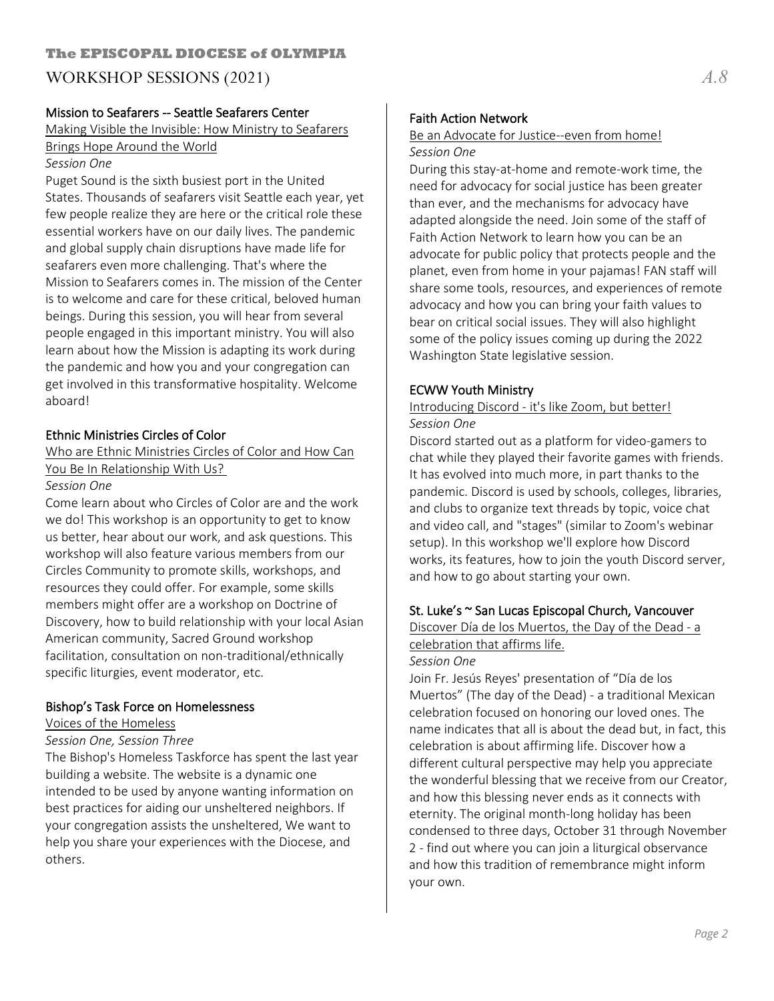## Mission to Seafarers -- Seattle Seafarers Center

Making Visible the Invisible: How Ministry to Seafarers Brings Hope Around the World

#### *Session One*

Puget Sound is the sixth busiest port in the United States. Thousands of seafarers visit Seattle each year, yet few people realize they are here or the critical role these essential workers have on our daily lives. The pandemic and global supply chain disruptions have made life for seafarers even more challenging. That's where the Mission to Seafarers comes in. The mission of the Center is to welcome and care for these critical, beloved human beings. During this session, you will hear from several people engaged in this important ministry. You will also learn about how the Mission is adapting its work during the pandemic and how you and your congregation can get involved in this transformative hospitality. Welcome aboard!

#### Ethnic Ministries Circles of Color

Who are Ethnic Ministries Circles of Color and How Can You Be In Relationship With Us?

#### *Session One*

Come learn about who Circles of Color are and the work we do! This workshop is an opportunity to get to know us better, hear about our work, and ask questions. This workshop will also feature various members from our Circles Community to promote skills, workshops, and resources they could offer. For example, some skills members might offer are a workshop on Doctrine of Discovery, how to build relationship with your local Asian American community, Sacred Ground workshop facilitation, consultation on non-traditional/ethnically specific liturgies, event moderator, etc.

## Bishop's Task Force on Homelessness

Voices of the Homeless

#### *Session One, Session Three*

The Bishop's Homeless Taskforce has spent the last year building a website. The website is a dynamic one intended to be used by anyone wanting information on best practices for aiding our unsheltered neighbors. If your congregation assists the unsheltered, We want to help you share your experiences with the Diocese, and others.

## Faith Action Network

#### Be an Advocate for Justice--even from home! *Session One*

During this stay-at-home and remote-work time, the need for advocacy for social justice has been greater than ever, and the mechanisms for advocacy have adapted alongside the need. Join some of the staff of Faith Action Network to learn how you can be an advocate for public policy that protects people and the planet, even from home in your pajamas! FAN staff will share some tools, resources, and experiences of remote advocacy and how you can bring your faith values to bear on critical social issues. They will also highlight some of the policy issues coming up during the 2022 Washington State legislative session.

#### ECWW Youth Ministry

#### Introducing Discord - it's like Zoom, but better! *Session One*

Discord started out as a platform for video-gamers to chat while they played their favorite games with friends. It has evolved into much more, in part thanks to the pandemic. Discord is used by schools, colleges, libraries, and clubs to organize text threads by topic, voice chat and video call, and "stages" (similar to Zoom's webinar setup). In this workshop we'll explore how Discord works, its features, how to join the youth Discord server, and how to go about starting your own.

#### St. Luke's ~ San Lucas Episcopal Church, Vancouver

Discover Día de los Muertos, the Day of the Dead - a celebration that affirms life.

#### *Session One*

Join Fr. Jesús Reyes' presentation of "Día de los Muertos" (The day of the Dead) - a traditional Mexican celebration focused on honoring our loved ones. The name indicates that all is about the dead but, in fact, this celebration is about affirming life. Discover how a different cultural perspective may help you appreciate the wonderful blessing that we receive from our Creator, and how this blessing never ends as it connects with eternity. The original month-long holiday has been condensed to three days, October 31 through November 2 - find out where you can join a liturgical observance and how this tradition of remembrance might inform your own.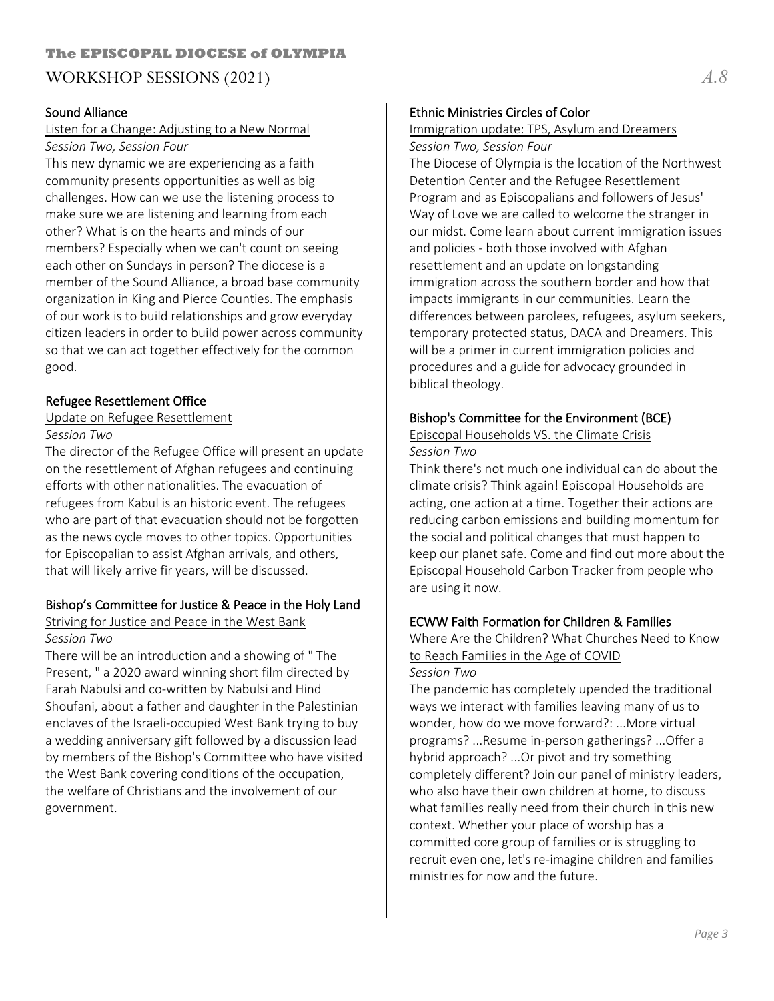## **The EPISCOPAL DIOCESE of OLYMPIA** WORKSHOP SESSIONS (2021) *A.8*

## Sound Alliance

#### Listen for a Change: Adjusting to a New Normal *Session Two, Session Four*

This new dynamic we are experiencing as a faith community presents opportunities as well as big challenges. How can we use the listening process to make sure we are listening and learning from each other? What is on the hearts and minds of our members? Especially when we can't count on seeing each other on Sundays in person? The diocese is a member of the Sound Alliance, a broad base community organization in King and Pierce Counties. The emphasis of our work is to build relationships and grow everyday citizen leaders in order to build power across community so that we can act together effectively for the common good.

## Refugee Resettlement Office

## Update on Refugee Resettlement

#### *Session Two*

The director of the Refugee Office will present an update on the resettlement of Afghan refugees and continuing efforts with other nationalities. The evacuation of refugees from Kabul is an historic event. The refugees who are part of that evacuation should not be forgotten as the news cycle moves to other topics. Opportunities for Episcopalian to assist Afghan arrivals, and others, that will likely arrive fir years, will be discussed.

## Bishop's Committee for Justice & Peace in the Holy Land

#### Striving for Justice and Peace in the West Bank *Session Two*

There will be an introduction and a showing of " The Present, " a 2020 award winning short film directed by Farah Nabulsi and co-written by Nabulsi and Hind Shoufani, about a father and daughter in the Palestinian enclaves of the Israeli-occupied West Bank trying to buy a wedding anniversary gift followed by a discussion lead by members of the Bishop's Committee who have visited the West Bank covering conditions of the occupation, the welfare of Christians and the involvement of our government.

## Ethnic Ministries Circles of Color

## Immigration update: TPS, Asylum and Dreamers

*Session Two, Session Four*

The Diocese of Olympia is the location of the Northwest Detention Center and the Refugee Resettlement Program and as Episcopalians and followers of Jesus' Way of Love we are called to welcome the stranger in our midst. Come learn about current immigration issues and policies - both those involved with Afghan resettlement and an update on longstanding immigration across the southern border and how that impacts immigrants in our communities. Learn the differences between parolees, refugees, asylum seekers, temporary protected status, DACA and Dreamers. This will be a primer in current immigration policies and procedures and a guide for advocacy grounded in biblical theology.

## Bishop's Committee for the Environment (BCE)

#### Episcopal Households VS. the Climate Crisis *Session Two*

Think there's not much one individual can do about the climate crisis? Think again! Episcopal Households are acting, one action at a time. Together their actions are reducing carbon emissions and building momentum for the social and political changes that must happen to keep our planet safe. Come and find out more about the Episcopal Household Carbon Tracker from people who are using it now.

## ECWW Faith Formation for Children & Families

#### Where Are the Children? What Churches Need to Know to Reach Families in the Age of COVID *Session Two*

The pandemic has completely upended the traditional ways we interact with families leaving many of us to wonder, how do we move forward?: ...More virtual programs? ...Resume in-person gatherings? ...Offer a hybrid approach? ...Or pivot and try something completely different? Join our panel of ministry leaders, who also have their own children at home, to discuss what families really need from their church in this new context. Whether your place of worship has a committed core group of families or is struggling to recruit even one, let's re-imagine children and families ministries for now and the future.